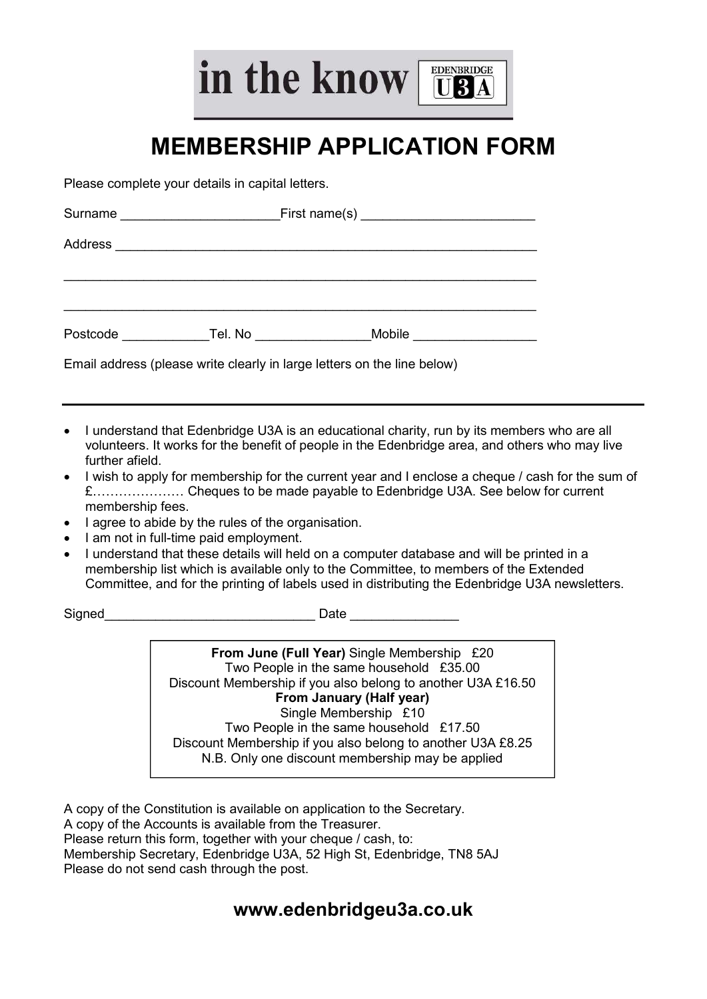in the know

# MEMBERSHIP APPLICATION FORM

**EDENBRIDGE** TRA

Please complete your details in capital letters.

| Surname  | _First name(s) ____________________________ |        |  |
|----------|---------------------------------------------|--------|--|
| Address  |                                             |        |  |
|          |                                             |        |  |
|          |                                             |        |  |
| Postcode | Tel. No                                     | Mobile |  |

Email address (please write clearly in large letters on the line below)

- I understand that Edenbridge U3A is an educational charity, run by its members who are all volunteers. It works for the benefit of people in the Edenbridge area, and others who may live further afield.
- I wish to apply for membership for the current year and I enclose a cheque / cash for the sum of £………………… Cheques to be made payable to Edenbridge U3A. See below for current membership fees.
- I agree to abide by the rules of the organisation.
- I am not in full-time paid employment.
- I understand that these details will held on a computer database and will be printed in a membership list which is available only to the Committee, to members of the Extended Committee, and for the printing of labels used in distributing the Edenbridge U3A newsletters.

Signed **Example 2 Signed Date**  $\overline{D}$ 

From June (Full Year) Single Membership £20 Two People in the same household £35.00 Discount Membership if you also belong to another U3A £16.50 From January (Half year) Single Membership £10 Two People in the same household £17.50 Discount Membership if you also belong to another U3A £8.25 N.B. Only one discount membership may be applied

A copy of the Constitution is available on application to the Secretary. A copy of the Accounts is available from the Treasurer. Please return this form, together with your cheque / cash, to: Membership Secretary, Edenbridge U3A, 52 High St, Edenbridge, TN8 5AJ Please do not send cash through the post.

### www.edenbridgeu3a.co.uk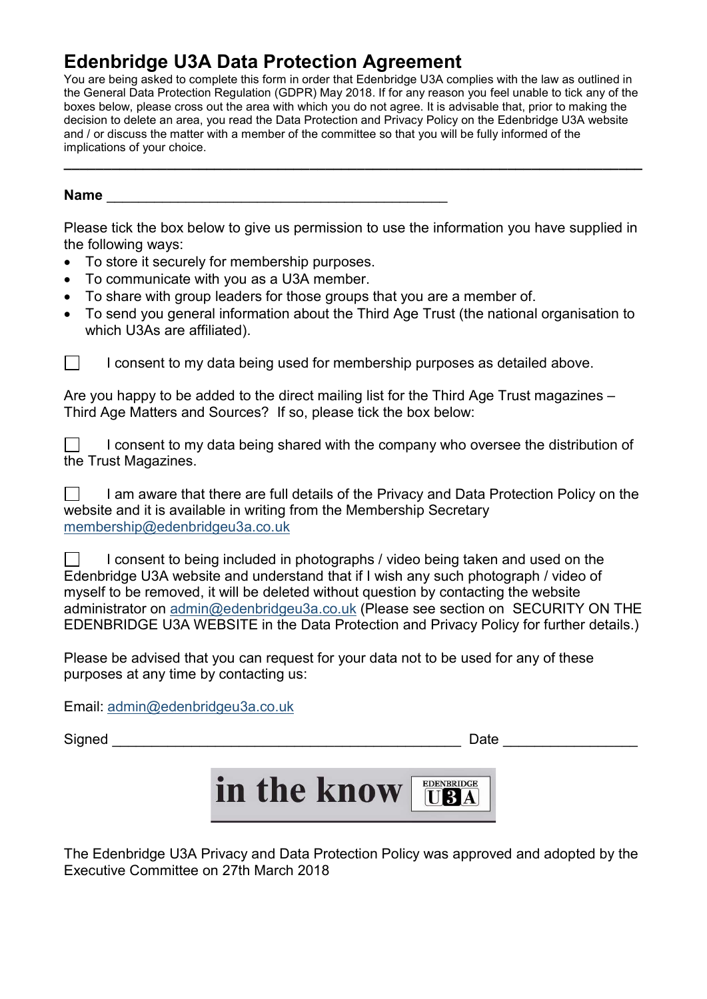## Edenbridge U3A Data Protection Agreement

You are being asked to complete this form in order that Edenbridge U3A complies with the law as outlined in the General Data Protection Regulation (GDPR) May 2018. If for any reason you feel unable to tick any of the boxes below, please cross out the area with which you do not agree. It is advisable that, prior to making the decision to delete an area, you read the Data Protection and Privacy Policy on the Edenbridge U3A website and / or discuss the matter with a member of the committee so that you will be fully informed of the implications of your choice.

 $\overline{\phantom{a}}$  , and the contribution of the contribution of the contribution of the contribution of the contribution of the contribution of the contribution of the contribution of the contribution of the contribution of the

#### Name

Please tick the box below to give us permission to use the information you have supplied in the following ways:

- To store it securely for membership purposes.
- To communicate with you as a U3A member.
- To share with group leaders for those groups that you are a member of.
- To send you general information about the Third Age Trust (the national organisation to which U3As are affiliated).



 $\Box$  I consent to my data being used for membership purposes as detailed above.

Are you happy to be added to the direct mailing list for the Third Age Trust magazines – Third Age Matters and Sources? If so, please tick the box below:

 $\Box$  I consent to my data being shared with the company who oversee the distribution of the Trust Magazines.

 $\Box$  I am aware that there are full details of the Privacy and Data Protection Policy on the website and it is available in writing from the Membership Secretary membership@edenbridgeu3a.co.uk

 $\Box$  I consent to being included in photographs / video being taken and used on the Edenbridge U3A website and understand that if I wish any such photograph / video of myself to be removed, it will be deleted without question by contacting the website administrator on admin@edenbridgeu3a.co.uk (Please see section on SECURITY ON THE EDENBRIDGE U3A WEBSITE in the Data Protection and Privacy Policy for further details.)

Please be advised that you can request for your data not to be used for any of these purposes at any time by contacting us:

Email: admin@edenbridgeu3a.co.uk

Signed **Example 2** and the set of the set of the set of the set of the set of the set of the set of the set of the set of the set of the set of the set of the set of the set of the set of the set of the set of the set of t



The Edenbridge U3A Privacy and Data Protection Policy was approved and adopted by the Executive Committee on 27th March 2018